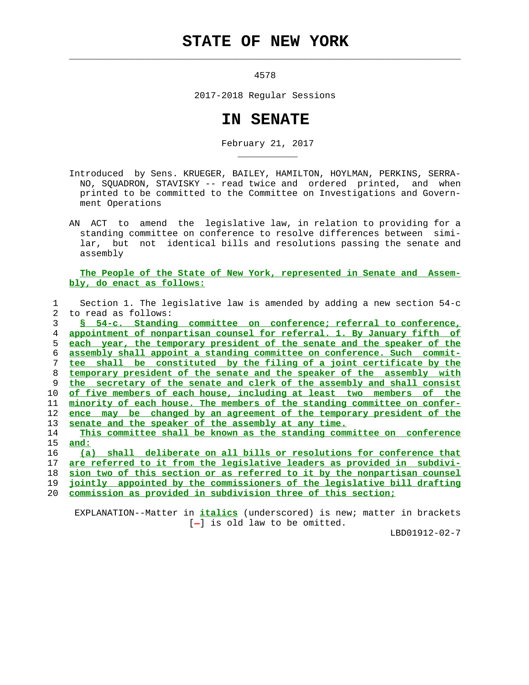## **STATE OF NEW YORK**

 $\mathcal{L}_\text{max} = \frac{1}{2} \sum_{i=1}^{n} \frac{1}{2} \sum_{i=1}^{n} \frac{1}{2} \sum_{i=1}^{n} \frac{1}{2} \sum_{i=1}^{n} \frac{1}{2} \sum_{i=1}^{n} \frac{1}{2} \sum_{i=1}^{n} \frac{1}{2} \sum_{i=1}^{n} \frac{1}{2} \sum_{i=1}^{n} \frac{1}{2} \sum_{i=1}^{n} \frac{1}{2} \sum_{i=1}^{n} \frac{1}{2} \sum_{i=1}^{n} \frac{1}{2} \sum_{i=1}^{n} \frac{1$ 

\_\_\_\_\_\_\_\_\_\_\_

4578

2017-2018 Regular Sessions

## **IN SENATE**

February 21, 2017

- Introduced by Sens. KRUEGER, BAILEY, HAMILTON, HOYLMAN, PERKINS, SERRA- NO, SQUADRON, STAVISKY -- read twice and ordered printed, and when printed to be committed to the Committee on Investigations and Govern ment Operations
- AN ACT to amend the legislative law, in relation to providing for a standing committee on conference to resolve differences between simi lar, but not identical bills and resolutions passing the senate and assembly

 **The People of the State of New York, represented in Senate and Assem bly, do enact as follows:**

|    | Section 1. The legislative law is amended by adding a new section $54-c$  |
|----|---------------------------------------------------------------------------|
| 2. | to read as follows:                                                       |
| 3  | Standing committee on conference; referral to conference,<br>$S = 54-c$ . |
| 4  | appointment of nonpartisan counsel for referral. 1. By January fifth of   |
| 5. | each year, the temporary president of the senate and the speaker of the   |
| 6  | assembly shall appoint a standing committee on conference. Such commit-   |
|    | tee shall be constituted by the filing of a joint certificate by the      |
| 8  | temporary president of the senate and the speaker of the assembly with    |
| 9  | the secretary of the senate and clerk of the assembly and shall consist   |
| 10 | of five members of each house, including at least two<br>members of the   |
| 11 | minority of each house. The members of the standing committee on confer-  |
| 12 | ence may be changed by an agreement of the temporary president of the     |
| 13 | senate and the speaker of the assembly at any time.                       |
| 14 | This committee shall be known as the standing committee on conference     |
| 15 | and:                                                                      |
| 16 | shall deliberate on all bills or resolutions for conference that<br>(a)   |
| 17 | are referred to it from the legislative leaders as provided in subdivi-   |
| 18 | sion two of this section or as referred to it by the nonpartisan counsel  |
| 19 | jointly appointed by the commissioners of the legislative bill drafting   |

20 **commission as provided in subdivision three of this section;**

 EXPLANATION--Matter in **italics** (underscored) is new; matter in brackets  $[-]$  is old law to be omitted.

LBD01912-02-7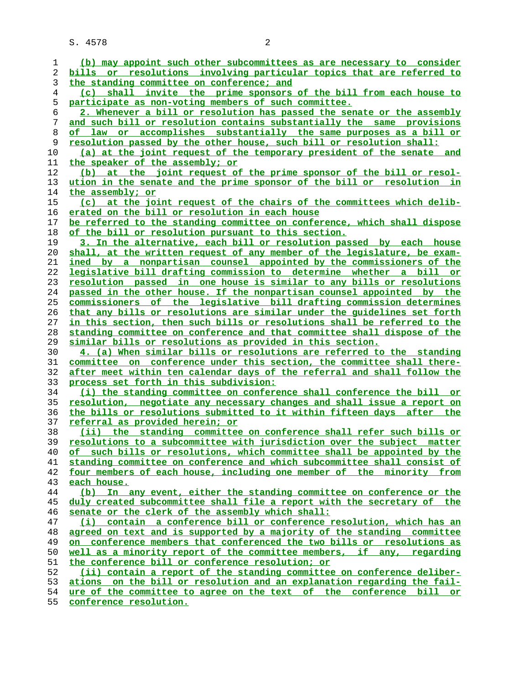S. 4578 2

**(b) may appoint such other subcommittees as are necessary to consider bills or resolutions involving particular topics that are referred to the standing committee on conference; and (c) shall invite the prime sponsors of the bill from each house to participate as non-voting members of such committee. 2. Whenever a bill or resolution has passed the senate or the assembly and such bill or resolution contains substantially the same provisions of law or accomplishes substantially the same purposes as a bill or resolution passed by the other house, such bill or resolution shall: (a) at the joint request of the temporary president of the senate and the speaker of the assembly; or (b) at the joint request of the prime sponsor of the bill or resol- ution in the senate and the prime sponsor of the bill or resolution in the assembly; or (c) at the joint request of the chairs of the committees which delib- erated on the bill or resolution in each house be referred to the standing committee on conference, which shall dispose of the bill or resolution pursuant to this section. 3. In the alternative, each bill or resolution passed by each house shall, at the written request of any member of the legislature, be exam- ined by a nonpartisan counsel appointed by the commissioners of the legislative bill drafting commission to determine whether a bill or resolution passed in one house is similar to any bills or resolutions passed in the other house. If the nonpartisan counsel appointed by the commissioners of the legislative bill drafting commission determines that any bills or resolutions are similar under the guidelines set forth in this section, then such bills or resolutions shall be referred to the standing committee on conference and that committee shall dispose of the similar bills or resolutions as provided in this section. 4. (a) When similar bills or resolutions are referred to the standing committee on conference under this section, the committee shall there- after meet within ten calendar days of the referral and shall follow the process set forth in this subdivision: (i) the standing committee on conference shall conference the bill or resolution, negotiate any necessary changes and shall issue a report on the bills or resolutions submitted to it within fifteen days after the referral as provided herein; or (ii) the standing committee on conference shall refer such bills or resolutions to a subcommittee with jurisdiction over the subject matter of such bills or resolutions, which committee shall be appointed by the standing committee on conference and which subcommittee shall consist of four members of each house, including one member of the minority from each house. (b) In any event, either the standing committee on conference or the duly created subcommittee shall file a report with the secretary of the senate or the clerk of the assembly which shall: (i) contain a conference bill or conference resolution, which has an agreed on text and is supported by a majority of the standing committee on conference members that conferenced the two bills or resolutions as well as a minority report of the committee members, if any, regarding the conference bill or conference resolution; or (ii) contain a report of the standing committee on conference deliber- ations on the bill or resolution and an explanation regarding the fail- ure of the committee to agree on the text of the conference bill or**

**conference resolution.**